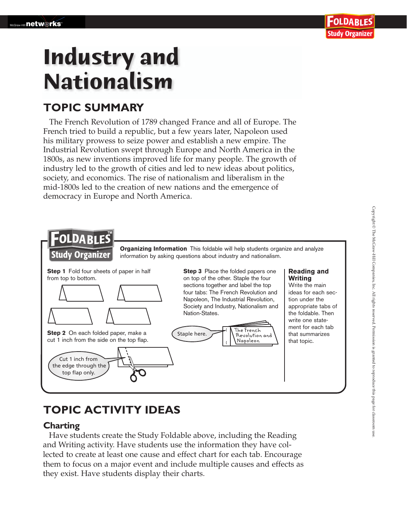# **Industry and Nationalism**

## **TOPIC SUMMARY**

The French Revolution of 1789 changed France and all of Europe. The French tried to build a republic, but a few years later, Napoleon used his military prowess to seize power and establish a new empire. The Industrial Revolution swept through Europe and North America in the 1800s, as new inventions improved life for many people. The growth of industry led to the growth of cities and led to new ideas about politics, society, and economics. The rise of nationalism and liberalism in the mid-1800s led to the creation of new nations and the emergence of democracy in Europe and North America.



## **TOPIC ACTIVITY IDEAS**

### **Charting**

 Have students create the Study Foldable above, including the Reading and Writing activity. Have students use the information they have collected to create at least one cause and effect chart for each tab. Encourage them to focus on a major event and include multiple causes and effects as they exist. Have students display their charts.